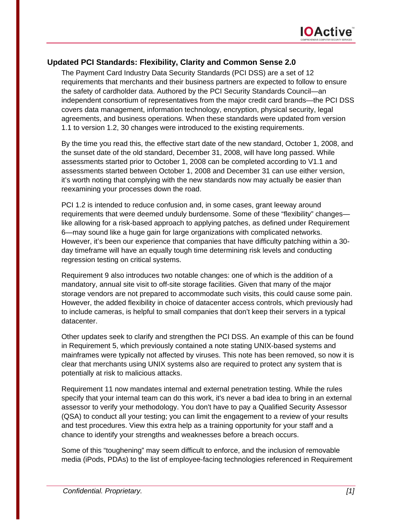

## **Updated PCI Standards: Flexibility, Clarity and Common Sense 2.0**

The Payment Card Industry Data Security Standards (PCI DSS) are a set of 12 requirements that merchants and their business partners are expected to follow to ensure the safety of cardholder data. Authored by the PCI Security Standards Council—an independent consortium of representatives from the major credit card brands—the PCI DSS covers data management, information technology, encryption, physical security, legal agreements, and business operations. When these standards were updated from version 1.1 to version 1.2, 30 changes were introduced to the existing requirements.

By the time you read this, the effective start date of the new standard, October 1, 2008, and the sunset date of the old standard, December 31, 2008, will have long passed. While assessments started prior to October 1, 2008 can be completed according to V1.1 and assessments started between October 1, 2008 and December 31 can use either version, it's worth noting that complying with the new standards now may actually be easier than reexamining your processes down the road.

PCI 1.2 is intended to reduce confusion and, in some cases, grant leeway around requirements that were deemed unduly burdensome. Some of these "flexibility" changes like allowing for a risk-based approach to applying patches, as defined under Requirement 6—may sound like a huge gain for large organizations with complicated networks. However, it's been our experience that companies that have difficulty patching within a 30 day timeframe will have an equally tough time determining risk levels and conducting regression testing on critical systems.

Requirement 9 also introduces two notable changes: one of which is the addition of a mandatory, annual site visit to off-site storage facilities. Given that many of the major storage vendors are not prepared to accommodate such visits, this could cause some pain. However, the added flexibility in choice of datacenter access controls, which previously had to include cameras, is helpful to small companies that don't keep their servers in a typical datacenter.

Other updates seek to clarify and strengthen the PCI DSS. An example of this can be found in Requirement 5, which previously contained a note stating UNIX-based systems and mainframes were typically not affected by viruses. This note has been removed, so now it is clear that merchants using UNIX systems also are required to protect any system that is potentially at risk to malicious attacks.

Requirement 11 now mandates internal and external penetration testing. While the rules specify that your internal team can do this work, it's never a bad idea to bring in an external assessor to verify your methodology. You don't have to pay a Qualified Security Assessor (QSA) to conduct all your testing; you can limit the engagement to a review of your results and test procedures. View this extra help as a training opportunity for your staff and a chance to identify your strengths and weaknesses before a breach occurs.

Some of this "toughening" may seem difficult to enforce, and the inclusion of removable media (iPods, PDAs) to the list of employee-facing technologies referenced in Requirement